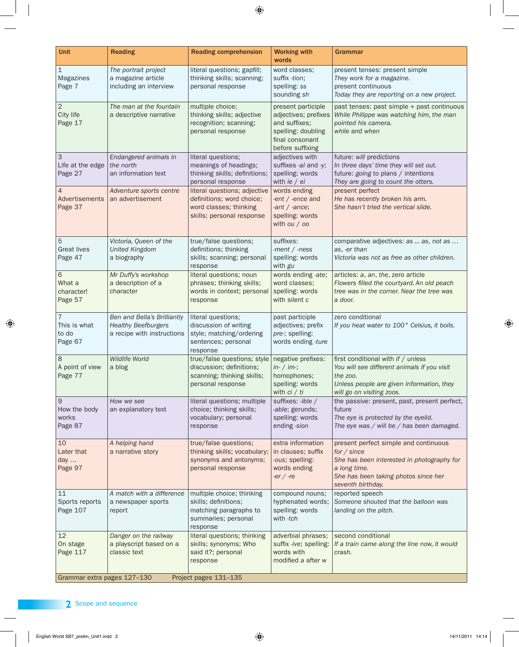| <b>Unit</b>                                          | <b>Reading</b>                                                                          | <b>Reading comprehension</b>                                                                                                    | <b>Working with</b><br>words                                                                     | Grammar                                                                                                                                                                         |  |  |
|------------------------------------------------------|-----------------------------------------------------------------------------------------|---------------------------------------------------------------------------------------------------------------------------------|--------------------------------------------------------------------------------------------------|---------------------------------------------------------------------------------------------------------------------------------------------------------------------------------|--|--|
| $\mathbf{1}$<br>Magazines<br>Page 7                  | The portrait project<br>a magazine article<br>including an interview                    | literal questions; gapfill;<br>thinking skills; scanning;<br>personal response                                                  | word classes;<br>suffix -tion;<br>spelling: ss<br>sounding sh                                    | present tenses: present simple<br>They work for a magazine.<br>present continuous<br>Today they are reporting on a new project.                                                 |  |  |
| $\overline{2}$<br>City life<br>Page 17               | The man at the fountain<br>a descriptive narrative                                      | multiple choice;<br>thinking skills; adjective<br>recognition; scanning;<br>personal response                                   | present participle<br>and suffixes;<br>spelling: doubling<br>final consonant<br>before suffixing | past tenses: past simple + past continuous<br>adjectives; prefixes   While Philippe was watching him, the man<br>pointed his camera.<br>while and when                          |  |  |
| 3<br>Life at the edge<br>Page 27                     | Endangered animals in<br>the north<br>an information text                               | literal questions;<br>meanings of headings;<br>thinking skills; definitions;   spelling: words<br>personal response             | adjectives with<br>suffixes -al and -y;<br>with $ie / ei$                                        | future: will predictions<br>In three days' time they will set out.<br>future: going to plans / intentions<br>They are going to count the otters.                                |  |  |
| $\overline{4}$<br>Advertisements<br>Page 37          | Adventure sports centre<br>an advertisement                                             | literal questions; adjective<br>definitions; word choice;<br>word classes; thinking<br>skills; personal response                | words ending<br>-ent $/$ -ence and<br>-ant $/$ -ance;<br>spelling: words<br>with $ou / oo$       | present perfect<br>He has recently broken his arm.<br>She hasn't tried the vertical slide.                                                                                      |  |  |
| $\overline{5}$<br><b>Great lives</b><br>Page 47      | Victoria, Queen of the<br><b>United Kingdom</b><br>a biography                          | true/false questions;<br>definitions; thinking<br>skills; scanning; personal<br>response                                        | suffixes:<br>-ment $/$ -ness<br>spelling: words<br>with gu                                       | comparative adjectives: as  as, not as<br>as, -er than<br>Victoria was not as free as other children.                                                                           |  |  |
| 6<br>What a<br>character!<br>Page 57                 | Mr Duffy's workshop<br>a description of a<br>character                                  | literal questions; noun<br>phrases; thinking skills;<br>words in context; personal<br>response                                  | words ending -ate;<br>word classes;<br>spelling: words<br>with silent c                          | articles: a, an, the, zero article<br>Flowers filled the courtyard. An old peach<br>tree was in the corner. Near the tree was<br>a door.                                        |  |  |
| $\overline{7}$<br>This is what<br>to do<br>Page 67   | Ben and Bella's Brilliantly<br><b>Healthy Beefburgers</b><br>a recipe with instructions | literal questions;<br>discussion of writing<br>style; matching/ordering<br>sentences; personal<br>response                      | past participle<br>adjectives; prefix<br>pre-; spelling:<br>words ending -ture                   | zero conditional<br>If you heat water to 100° Celsius, it boils.                                                                                                                |  |  |
| 8<br>A point of view<br>Page 77                      | <b>Wildlife World</b><br>a blog                                                         | true/false questions; style   negative prefixes:<br>discussion; definitions;<br>scanning; thinking skills;<br>personal response | $in-$ / $im-$ ;<br>homophones;<br>spelling: words<br>with $ci / ti$                              | first conditional with if / unless<br>You will see different animals if you visit<br>the zoo.<br>Unless people are given information, they<br>will go on visiting zoos.         |  |  |
| 9<br>How the body<br>works<br>Page 87                | How we see<br>an explanatory text                                                       | literal questions; multiple<br>choice; thinking skills;<br>vocabulary; personal<br>response                                     | suffixes: -ible /<br>-able; gerunds;<br>spelling: words<br>ending -sion                          | the passive: present, past, present perfect,<br>future<br>The eye is protected by the eyelid.<br>The eye was / will be / has been damaged.                                      |  |  |
| 10<br>Later that<br>day $\ldots$<br>Page 97          | A helping hand<br>a narrative story                                                     | true/false questions;<br>thinking skills; vocabulary;<br>synonyms and antonyms;<br>personal response                            | extra information<br>in clauses; suffix<br>-ous; spelling:<br>words ending<br>$-er / -re$        | present perfect simple and continuous<br>for / since<br>She has been interested in photography for<br>a long time.<br>She has been taking photos since her<br>seventh birthday. |  |  |
| 11<br>Sports reports<br>Page 107                     | A match with a difference<br>a newspaper sports<br>report                               | multiple choice; thinking<br>skills; definitions;<br>matching paragraphs to<br>summaries; personal<br>response                  | compound nouns;<br>hyphenated words;<br>spelling: words<br>with -tch                             | reported speech<br>Someone shouted that the balloon was<br>landing on the pitch.                                                                                                |  |  |
| 12<br>On stage<br>Page 117                           | Danger on the railway<br>a playscript based on a<br>classic text                        | literal questions; thinking<br>skills; synonyms; Who<br>said it?; personal<br>response                                          | adverbial phrases;<br>suffix -ive; spelling:<br>words with<br>modified a after w                 | second conditional<br>If a train came along the line now, it would<br>crash.                                                                                                    |  |  |
| Grammar extra pages 127-130<br>Project pages 131-135 |                                                                                         |                                                                                                                                 |                                                                                                  |                                                                                                                                                                                 |  |  |